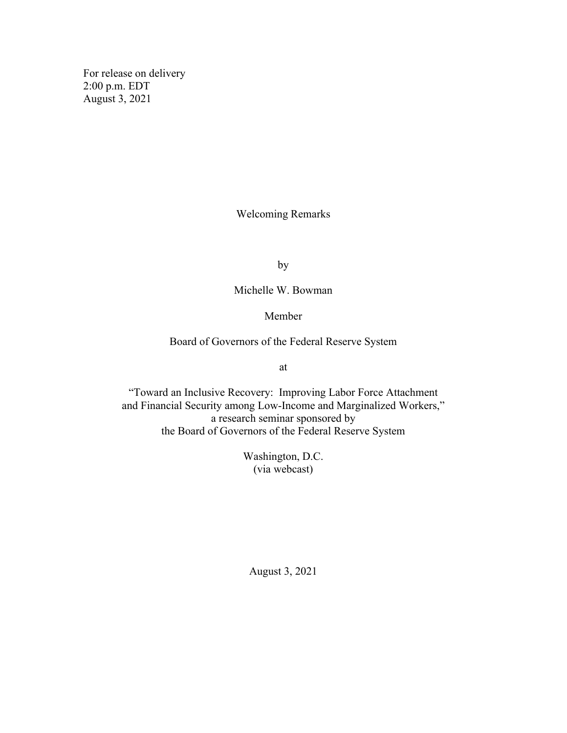For release on delivery 2:00 p.m. EDT August 3, 2021

Welcoming Remarks

by

Michelle W. Bowman

Member

Board of Governors of the Federal Reserve System

at

"Toward an Inclusive Recovery: Improving Labor Force Attachment and Financial Security among Low-Income and Marginalized Workers," a research seminar sponsored by the Board of Governors of the Federal Reserve System

> Washington, D.C. (via webcast)

August 3, 2021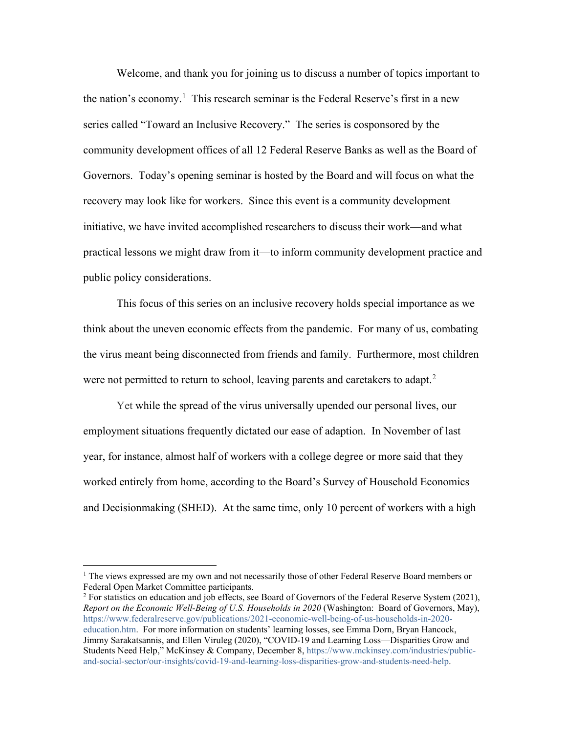Welcome, and thank you for joining us to discuss a number of topics important to the nation's economy.<sup>[1](#page-1-0)</sup> This research seminar is the Federal Reserve's first in a new series called "Toward an Inclusive Recovery." The series is cosponsored by the community development offices of all 12 Federal Reserve Banks as well as the Board of Governors. Today's opening seminar is hosted by the Board and will focus on what the recovery may look like for workers. Since this event is a community development initiative, we have invited accomplished researchers to discuss their work—and what practical lessons we might draw from it—to inform community development practice and public policy considerations.

This focus of this series on an inclusive recovery holds special importance as we think about the uneven economic effects from the pandemic. For many of us, combating the virus meant being disconnected from friends and family. Furthermore, most children were not permitted to return to school, leaving parents and caretakers to adapt.<sup>[2](#page-1-1)</sup>

Yet while the spread of the virus universally upended our personal lives, our employment situations frequently dictated our ease of adaption. In November of last year, for instance, almost half of workers with a college degree or more said that they worked entirely from home, according to the Board's Survey of Household Economics and Decisionmaking (SHED). At the same time, only 10 percent of workers with a high

<span id="page-1-0"></span><sup>&</sup>lt;sup>1</sup> The views expressed are my own and not necessarily those of other Federal Reserve Board members or Federal Open Market Committee participants.

<span id="page-1-1"></span> $2$  For statistics on education and job effects, see Board of Governors of the Federal Reserve System (2021), *Report on the Economic Well-Being of U.S. Households in 2020* (Washington: Board of Governors, May), [https://www.federalreserve.gov/publications/2021-economic-well-being-of-us-households-in-2020](https://www.federalreserve.gov/publications/2021-economic-well-being-of-us-households-in-2020-education.htm) [education.htm.](https://www.federalreserve.gov/publications/2021-economic-well-being-of-us-households-in-2020-education.htm) For more information on students' learning losses, see Emma Dorn, Bryan Hancock, Jimmy Sarakatsannis, and Ellen Viruleg (2020), ["COVID-19 and Learning Loss—Disparities Grow and](https://www.mckinsey.com/industries/public-and-social-sector/our-insights/covid-19-and-learning-loss-disparities-grow-and-students-need-help)  [Students Need Help,"](https://www.mckinsey.com/industries/public-and-social-sector/our-insights/covid-19-and-learning-loss-disparities-grow-and-students-need-help) McKinsey & Company, December 8, [https://www.mckinsey.com/industries/public](https://www.mckinsey.com/industries/public-and-social-sector/our-insights/covid-19-and-learning-loss-disparities-grow-and-students-need-help)[and-social-sector/our-insights/covid-19-and-learning-loss-disparities-grow-and-students-need-help.](https://www.mckinsey.com/industries/public-and-social-sector/our-insights/covid-19-and-learning-loss-disparities-grow-and-students-need-help)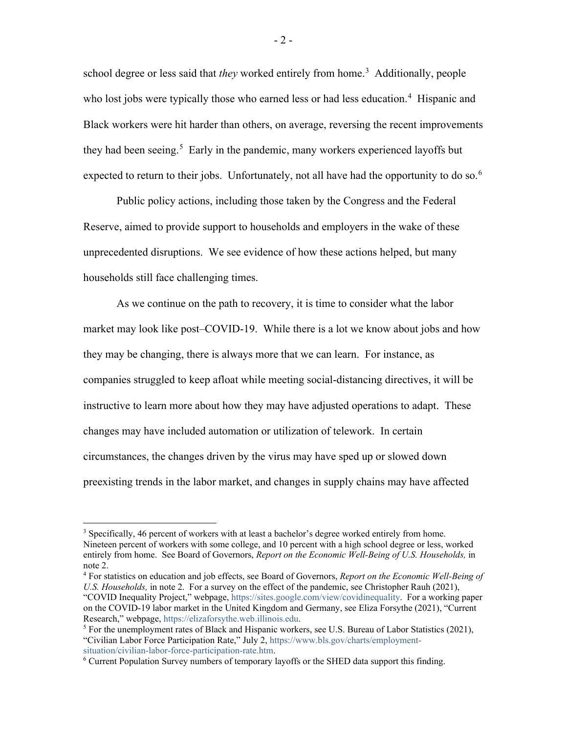school degree or less said that *they* worked entirely from home.<sup>[3](#page-2-0)</sup> Additionally, people who lost jobs were typically those who earned less or had less education.<sup>[4](#page-2-1)</sup> Hispanic and Black workers were hit harder than others, on average, reversing the recent improvements they had been seeing.<sup>[5](#page-2-2)</sup> Early in the pandemic, many workers experienced layoffs but expected to return to their jobs. Unfortunately, not all have had the opportunity to do so.<sup>[6](#page-2-3)</sup>

Public policy actions, including those taken by the Congress and the Federal Reserve, aimed to provide support to households and employers in the wake of these unprecedented disruptions. We see evidence of how these actions helped, but many households still face challenging times.

As we continue on the path to recovery, it is time to consider what the labor market may look like post–COVID-19. While there is a lot we know about jobs and how they may be changing, there is always more that we can learn. For instance, as companies struggled to keep afloat while meeting social-distancing directives, it will be instructive to learn more about how they may have adjusted operations to adapt. These changes may have included automation or utilization of telework. In certain circumstances, the changes driven by the virus may have sped up or slowed down preexisting trends in the labor market, and changes in supply chains may have affected

<span id="page-2-0"></span><sup>&</sup>lt;sup>3</sup> Specifically, 46 percent of workers with at least a bachelor's degree worked entirely from home. Nineteen percent of workers with some college, and 10 percent with a high school degree or less, worked entirely from home. See Board of Governors, *Report on the Economic Well-Being of U.S. Households,* in note 2.

<span id="page-2-1"></span><sup>4</sup> For statistics on education and job effects, see Board of Governors, *Report on the Economic Well-Being of U.S. Households,* in note 2. For a survey on the effect of the pandemic, see Christopher Rauh (2021),

<sup>&</sup>quot;COVID Inequality Project," webpage, [https://sites.google.com/view/covidinequality.](https://sites.google.com/view/covidinequality/) For a working paper on the COVID-19 labor market in the United Kingdom and Germany, see Eliza Forsythe (2021), "Current Research," webpage, [https://elizaforsythe.web.illinois.edu.](https://elizaforsythe.web.illinois.edu/)

<span id="page-2-2"></span> $<sup>5</sup>$  For the unemployment rates of Black and Hispanic workers, see U.S. Bureau of Labor Statistics (2021),</sup> "Civilian Labor Force Participation Rate," July 2, [https://www.bls.gov/charts/employment](https://www.bls.gov/charts/employment-situation/civilian-labor-force-participation-rate.htm)[situation/civilian-labor-force-participation-rate.htm.](https://www.bls.gov/charts/employment-situation/civilian-labor-force-participation-rate.htm)

<span id="page-2-3"></span><sup>&</sup>lt;sup>6</sup> Current Population Survey numbers of temporary layoffs or the SHED data support this finding.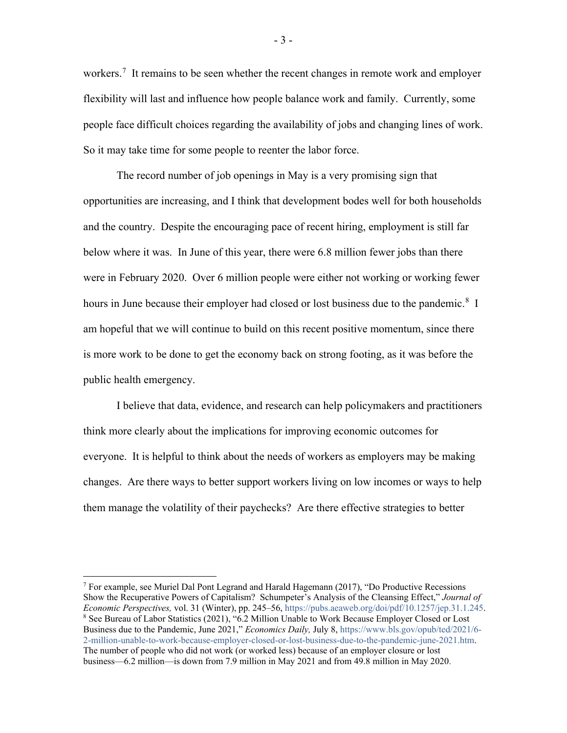workers.<sup>[7](#page-3-0)</sup> It remains to be seen whether the recent changes in remote work and employer flexibility will last and influence how people balance work and family. Currently, some people face difficult choices regarding the availability of jobs and changing lines of work. So it may take time for some people to reenter the labor force.

The record number of job openings in May is a very promising sign that opportunities are increasing, and I think that development bodes well for both households and the country. Despite the encouraging pace of recent hiring, employment is still far below where it was. In June of this year, there were 6.8 million fewer jobs than there were in February 2020. Over 6 million people were either not working or working fewer hours in June because their employer had closed or lost business due to the pandemic.<sup>[8](#page-3-1)</sup> I am hopeful that we will continue to build on this recent positive momentum, since there is more work to be done to get the economy back on strong footing, as it was before the public health emergency.

I believe that data, evidence, and research can help policymakers and practitioners think more clearly about the implications for improving economic outcomes for everyone. It is helpful to think about the needs of workers as employers may be making changes. Are there ways to better support workers living on low incomes or ways to help them manage the volatility of their paychecks? Are there effective strategies to better

<span id="page-3-1"></span><span id="page-3-0"></span><sup>&</sup>lt;sup>7</sup> For example, see Muriel Dal Pont Legrand and Harald Hagemann (2017), "Do Productive Recessions Show the Recuperative Powers of Capitalism? Schumpeter's Analysis of the Cleansing Effect," *Journal of Economic Perspectives,* vol. 31 (Winter), pp. 245–56, [https://pubs.aeaweb.org/doi/pdf/10.1257/jep.31.1.245.](https://pubs.aeaweb.org/doi/pdf/10.1257/jep.31.1.245) <sup>8</sup> See Bureau of Labor Statistics (2021), "6.2 Million Unable to Work Because Employer Closed or Lost Business due to the Pandemic, June 2021," *Economics Daily,* July 8, [https://www.bls.gov/opub/ted/2021/6-](https://www.bls.gov/opub/ted/2021/6-2-million-unable-to-work-because-employer-closed-or-lost-business-due-to-the-pandemic-june-2021.htm) [2-million-unable-to-work-because-employer-closed-or-lost-business-due-to-the-pandemic-june-2021.htm.](https://www.bls.gov/opub/ted/2021/6-2-million-unable-to-work-because-employer-closed-or-lost-business-due-to-the-pandemic-june-2021.htm)  The number of people who did not work (or worked less) because of an employer closure or lost business—6.2 million—is down from 7.9 million in May 2021 and from 49.8 million in May 2020.